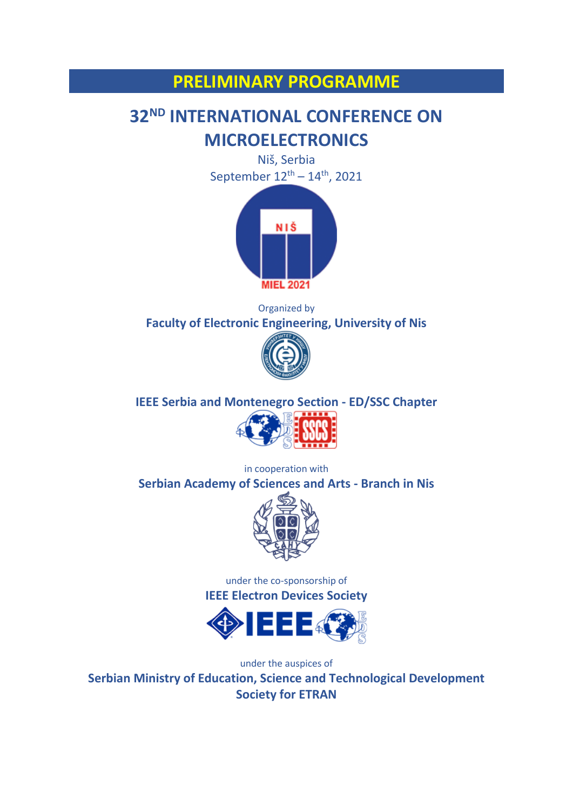## **PRELIMINARY PROGRAMME**

# **32ND INTERNATIONAL CONFERENCE ON MICROELECTRONICS**

Niš, Serbia September  $12^{th} - 14^{th}$ , 2021



Organized by **Faculty of Electronic Engineering, University of Nis**



**IEEE Serbia and Montenegro Section - ED/SSC Chapter**



in cooperation with **Serbian Academy of Sciences and Arts - Branch in Nis**



under the co-sponsorship of **IEEE Electron Devices Society**



under the auspices of

**Serbian Ministry of Education, Science and Technological Development Society for ETRAN**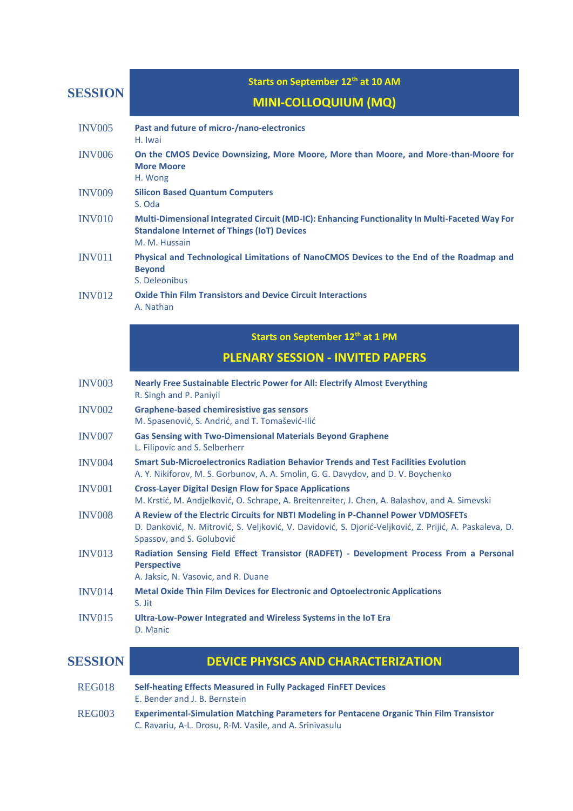**SESSION**

#### **Starts on September 12th at 10 AM**

## **MINI-COLLOQUIUM (MQ)**

| <b>INV005</b>  | Past and future of micro-/nano-electronics<br>H. Iwai                                                                                                                                                                   |
|----------------|-------------------------------------------------------------------------------------------------------------------------------------------------------------------------------------------------------------------------|
| <b>INV006</b>  | On the CMOS Device Downsizing, More Moore, More than Moore, and More-than-Moore for<br><b>More Moore</b><br>H. Wong                                                                                                     |
| <b>INV009</b>  | <b>Silicon Based Quantum Computers</b><br>S. Oda                                                                                                                                                                        |
| <b>INV010</b>  | Multi-Dimensional Integrated Circuit (MD-IC): Enhancing Functionality In Multi-Faceted Way For<br><b>Standalone Internet of Things (IoT) Devices</b><br>M. M. Hussain                                                   |
| <b>INV011</b>  | Physical and Technological Limitations of NanoCMOS Devices to the End of the Roadmap and<br><b>Beyond</b><br>S. Deleonibus                                                                                              |
| <b>INV012</b>  | <b>Oxide Thin Film Transistors and Device Circuit Interactions</b><br>A. Nathan                                                                                                                                         |
|                | Starts on September 12th at 1 PM                                                                                                                                                                                        |
|                | <b>PLENARY SESSION - INVITED PAPERS</b>                                                                                                                                                                                 |
| <b>INV003</b>  | <b>Nearly Free Sustainable Electric Power for All: Electrify Almost Everything</b><br>R. Singh and P. Paniyil                                                                                                           |
| <b>INV002</b>  | <b>Graphene-based chemiresistive gas sensors</b><br>M. Spasenović, S. Andrić, and T. Tomašević-Ilić                                                                                                                     |
| <b>INV007</b>  | <b>Gas Sensing with Two-Dimensional Materials Beyond Graphene</b><br>L. Filipovic and S. Selberherr                                                                                                                     |
| <b>INV004</b>  | <b>Smart Sub-Microelectronics Radiation Behavior Trends and Test Facilities Evolution</b><br>A. Y. Nikiforov, M. S. Gorbunov, A. A. Smolin, G. G. Davydov, and D. V. Boychenko                                          |
| <b>INV001</b>  | <b>Cross-Layer Digital Design Flow for Space Applications</b><br>M. Krstić, M. Andjelković, O. Schrape, A. Breitenreiter, J. Chen, A. Balashov, and A. Simevski                                                         |
| <b>INV008</b>  | A Review of the Electric Circuits for NBTI Modeling in P-Channel Power VDMOSFETs<br>D. Danković, N. Mitrović, S. Veljković, V. Davidović, S. Djorić-Veljković, Z. Prijić, A. Paskaleva, D.<br>Spassov, and S. Golubović |
| <b>INV013</b>  | Radiation Sensing Field Effect Transistor (RADFET) - Development Process From a Personal<br><b>Perspective</b><br>A. Jaksic, N. Vasovic, and R. Duane                                                                   |
| <b>INV014</b>  | <b>Metal Oxide Thin Film Devices for Electronic and Optoelectronic Applications</b><br>S. Jit                                                                                                                           |
| <b>INV015</b>  | Ultra-Low-Power Integrated and Wireless Systems in the IoT Era<br>D. Manic                                                                                                                                              |
| <b>SESSION</b> | <b>DEVICE PHYSICS AND CHARACTERIZATION</b>                                                                                                                                                                              |
| <b>REG018</b>  | Self-heating Effects Measured in Fully Packaged FinFET Devices<br>E. Bender and J. B. Bernstein                                                                                                                         |
| <b>REG003</b>  | <b>Experimental-Simulation Matching Parameters for Pentacene Organic Thin Film Transistor</b><br>C. Ravariu, A-L. Drosu, R-M. Vasile, and A. Srinivasulu                                                                |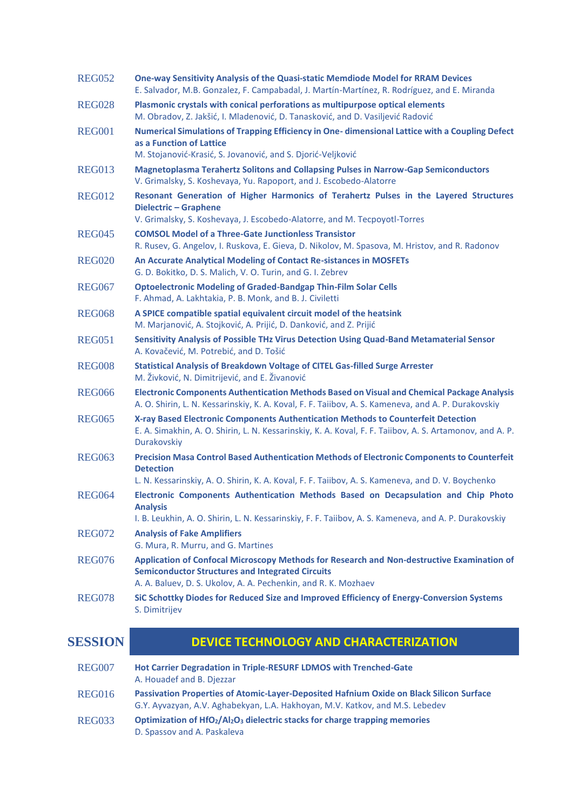| <b>REG052</b>  | One-way Sensitivity Analysis of the Quasi-static Memdiode Model for RRAM Devices<br>E. Salvador, M.B. Gonzalez, F. Campabadal, J. Martín-Martínez, R. Rodríguez, and E. Miranda                                         |
|----------------|-------------------------------------------------------------------------------------------------------------------------------------------------------------------------------------------------------------------------|
| <b>REG028</b>  | Plasmonic crystals with conical perforations as multipurpose optical elements<br>M. Obradov, Z. Jakšić, I. Mladenović, D. Tanasković, and D. Vasiljević Radović                                                         |
| <b>REG001</b>  | Numerical Simulations of Trapping Efficiency in One- dimensional Lattice with a Coupling Defect<br>as a Function of Lattice<br>M. Stojanović-Krasić, S. Jovanović, and S. Djorić-Veljković                              |
| <b>REG013</b>  | <b>Magnetoplasma Terahertz Solitons and Collapsing Pulses in Narrow-Gap Semiconductors</b><br>V. Grimalsky, S. Koshevaya, Yu. Rapoport, and J. Escobedo-Alatorre                                                        |
| <b>REG012</b>  | Resonant Generation of Higher Harmonics of Terahertz Pulses in the Layered Structures<br><b>Dielectric - Graphene</b><br>V. Grimalsky, S. Koshevaya, J. Escobedo-Alatorre, and M. Tecpoyotl-Torres                      |
| <b>REG045</b>  | <b>COMSOL Model of a Three-Gate Junctionless Transistor</b><br>R. Rusev, G. Angelov, I. Ruskova, E. Gieva, D. Nikolov, M. Spasova, M. Hristov, and R. Radonov                                                           |
| <b>REG020</b>  | An Accurate Analytical Modeling of Contact Re-sistances in MOSFETs<br>G. D. Bokitko, D. S. Malich, V. O. Turin, and G. I. Zebrev                                                                                        |
| <b>REG067</b>  | <b>Optoelectronic Modeling of Graded-Bandgap Thin-Film Solar Cells</b><br>F. Ahmad, A. Lakhtakia, P. B. Monk, and B. J. Civiletti                                                                                       |
| <b>REG068</b>  | A SPICE compatible spatial equivalent circuit model of the heatsink<br>M. Marjanović, A. Stojković, A. Prijić, D. Danković, and Z. Prijić                                                                               |
| <b>REG051</b>  | Sensitivity Analysis of Possible THz Virus Detection Using Quad-Band Metamaterial Sensor<br>A. Kovačević, M. Potrebić, and D. Tošić                                                                                     |
| <b>REG008</b>  | <b>Statistical Analysis of Breakdown Voltage of CITEL Gas-filled Surge Arrester</b><br>M. Živković, N. Dimitrijević, and E. Živanović                                                                                   |
| <b>REG066</b>  | Electronic Components Authentication Methods Based on Visual and Chemical Package Analysis<br>A. O. Shirin, L. N. Kessarinskiy, K. A. Koval, F. F. Taiibov, A. S. Kameneva, and A. P. Durakovskiy                       |
| <b>REG065</b>  | X-ray Based Electronic Components Authentication Methods to Counterfeit Detection<br>E. A. Simakhin, A. O. Shirin, L. N. Kessarinskiy, K. A. Koval, F. F. Taiibov, A. S. Artamonov, and A. P.<br>Durakovskiy            |
| <b>REG063</b>  | Precision Masa Control Based Authentication Methods of Electronic Components to Counterfeit<br><b>Detection</b><br>L. N. Kessarinskiy, A. O. Shirin, K. A. Koval, F. F. Taiibov, A. S. Kameneva, and D. V. Boychenko    |
| <b>REG064</b>  | Electronic Components Authentication Methods Based on Decapsulation and Chip Photo<br><b>Analysis</b><br>I. B. Leukhin, A. O. Shirin, L. N. Kessarinskiy, F. F. Taiibov, A. S. Kameneva, and A. P. Durakovskiy          |
| <b>REG072</b>  | <b>Analysis of Fake Amplifiers</b><br>G. Mura, R. Murru, and G. Martines                                                                                                                                                |
| <b>REG076</b>  | Application of Confocal Microscopy Methods for Research and Non-destructive Examination of<br><b>Semiconductor Structures and Integrated Circuits</b><br>A. A. Baluev, D. S. Ukolov, A. A. Pechenkin, and R. K. Mozhaev |
| <b>REG078</b>  | SiC Schottky Diodes for Reduced Size and Improved Efficiency of Energy-Conversion Systems<br>S. Dimitrijev                                                                                                              |
| <b>SESSION</b> | <b>DEVICE TECHNOLOGY AND CHARACTERIZATION</b>                                                                                                                                                                           |
| <b>REG007</b>  | Hot Carrier Degradation in Triple-RESURF LDMOS with Trenched-Gate<br>A. Houadef and B. Djezzar                                                                                                                          |
| <b>REG016</b>  | Passivation Properties of Atomic-Layer-Deposited Hafnium Oxide on Black Silicon Surface<br>G.Y. Ayvazyan, A.V. Aghabekyan, L.A. Hakhoyan, M.V. Katkov, and M.S. Lebedev                                                 |
| <b>REG033</b>  | Optimization of HfO <sub>2</sub> /Al <sub>2</sub> O <sub>3</sub> dielectric stacks for charge trapping memories<br>D. Spassov and A. Paskaleva                                                                          |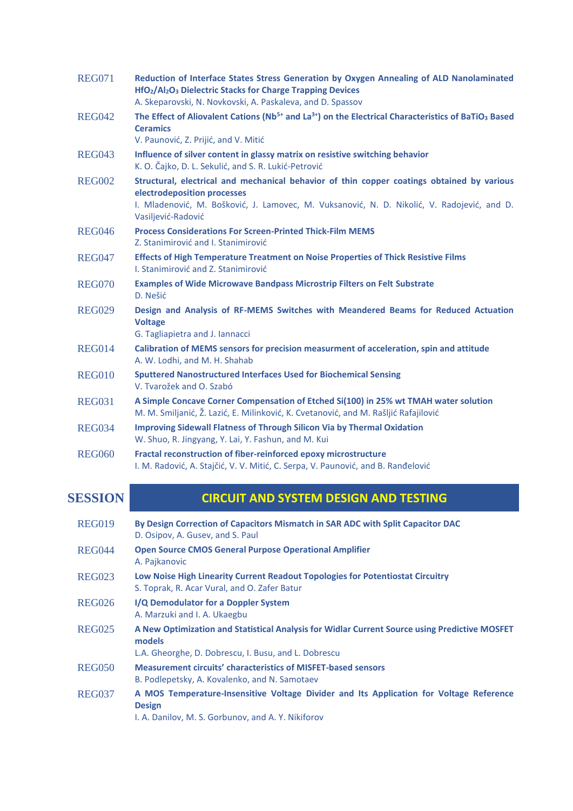| <b>REG071</b> | Reduction of Interface States Stress Generation by Oxygen Annealing of ALD Nanolaminated<br>HfO <sub>2</sub> /Al <sub>2</sub> O <sub>3</sub> Dielectric Stacks for Charge Trapping Devices<br>A. Skeparovski, N. Novkovski, A. Paskaleva, and D. Spassov |
|---------------|----------------------------------------------------------------------------------------------------------------------------------------------------------------------------------------------------------------------------------------------------------|
| <b>REG042</b> | The Effect of Aliovalent Cations (Nb <sup>5+</sup> and La <sup>3+</sup> ) on the Electrical Characteristics of BaTiO <sub>3</sub> Based<br><b>Ceramics</b><br>V. Paunović, Z. Prijić, and V. Mitić                                                       |
| <b>REG043</b> | Influence of silver content in glassy matrix on resistive switching behavior<br>K. O. Čajko, D. L. Sekulić, and S. R. Lukić-Petrović                                                                                                                     |
| <b>REG002</b> | Structural, electrical and mechanical behavior of thin copper coatings obtained by various<br>electrodeposition processes<br>I. Mladenović, M. Bošković, J. Lamovec, M. Vuksanović, N. D. Nikolić, V. Radojević, and D.<br>Vasiljević-Radović            |
| <b>REG046</b> | <b>Process Considerations For Screen-Printed Thick-Film MEMS</b><br>Z. Stanimirović and I. Stanimirović                                                                                                                                                  |
| <b>REG047</b> | <b>Effects of High Temperature Treatment on Noise Properties of Thick Resistive Films</b><br>I. Stanimirović and Z. Stanimirović                                                                                                                         |
| <b>REG070</b> | <b>Examples of Wide Microwave Bandpass Microstrip Filters on Felt Substrate</b><br>D. Nešić                                                                                                                                                              |
| <b>REG029</b> | Design and Analysis of RF-MEMS Switches with Meandered Beams for Reduced Actuation<br><b>Voltage</b><br>G. Tagliapietra and J. Iannacci                                                                                                                  |
| <b>REG014</b> | Calibration of MEMS sensors for precision measurment of acceleration, spin and attitude<br>A. W. Lodhi, and M. H. Shahab                                                                                                                                 |
| <b>REG010</b> | <b>Sputtered Nanostructured Interfaces Used for Biochemical Sensing</b><br>V. Tvarožek and O. Szabó                                                                                                                                                      |
| <b>REG031</b> | A Simple Concave Corner Compensation of Etched Si(100) in 25% wt TMAH water solution<br>M. M. Smiljanić, Ž. Lazić, E. Milinković, K. Cvetanović, and M. Rašljić Rafajilović                                                                              |
| <b>REG034</b> | <b>Improving Sidewall Flatness of Through Silicon Via by Thermal Oxidation</b><br>W. Shuo, R. Jingyang, Y. Lai, Y. Fashun, and M. Kui                                                                                                                    |
| <b>REG060</b> | Fractal reconstruction of fiber-reinforced epoxy microstructure<br>I. M. Radović, A. Stajčić, V. V. Mitić, C. Serpa, V. Paunović, and B. Ranđelović                                                                                                      |

| <b>SESSION</b> |  |  |
|----------------|--|--|

## **CIRCUIT AND SYSTEM DESIGN AND TESTING**

| <b>REG019</b> | By Design Correction of Capacitors Mismatch in SAR ADC with Split Capacitor DAC<br>D. Osipov, A. Gusev, and S. Paul                                             |
|---------------|-----------------------------------------------------------------------------------------------------------------------------------------------------------------|
| REG044        | <b>Open Source CMOS General Purpose Operational Amplifier</b><br>A. Pajkanovic                                                                                  |
| <b>REG023</b> | Low Noise High Linearity Current Readout Topologies for Potentiostat Circuitry<br>S. Toprak, R. Acar Vural, and O. Zafer Batur                                  |
| <b>REG026</b> | I/Q Demodulator for a Doppler System<br>A. Marzuki and I. A. Ukaegbu                                                                                            |
| <b>REG025</b> | A New Optimization and Statistical Analysis for Widlar Current Source using Predictive MOSFET<br>models<br>L.A. Gheorghe, D. Dobrescu, I. Busu, and L. Dobrescu |
| <b>REG050</b> | <b>Measurement circuits' characteristics of MISFET-based sensors</b><br>B. Podlepetsky, A. Kovalenko, and N. Samotaev                                           |
| <b>REG037</b> | A MOS Temperature-Insensitive Voltage Divider and Its Application for Voltage Reference<br><b>Design</b><br>I. A. Danilov, M. S. Gorbunov, and A. Y. Nikiforov  |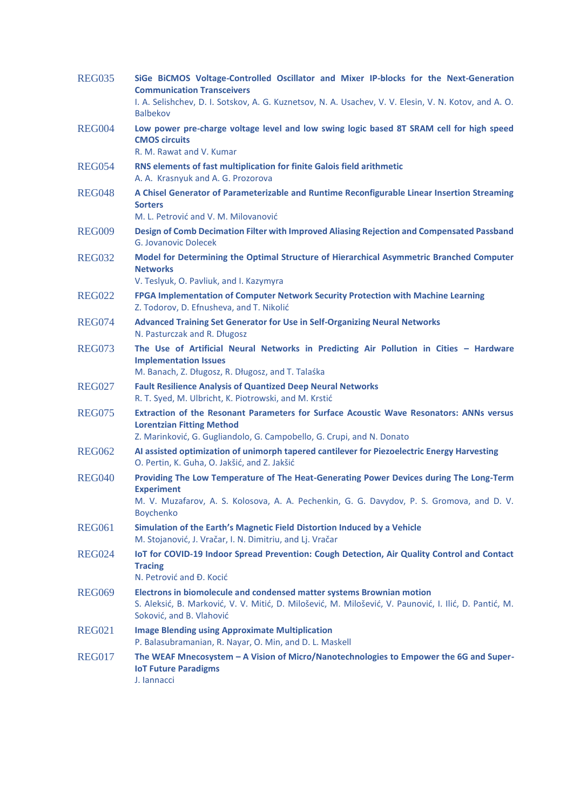| <b>REG035</b> | SiGe BiCMOS Voltage-Controlled Oscillator and Mixer IP-blocks for the Next-Generation<br><b>Communication Transceivers</b><br>I. A. Selishchev, D. I. Sotskov, A. G. Kuznetsov, N. A. Usachev, V. V. Elesin, V. N. Kotov, and A. O.<br><b>Balbekov</b> |
|---------------|--------------------------------------------------------------------------------------------------------------------------------------------------------------------------------------------------------------------------------------------------------|
| <b>REG004</b> | Low power pre-charge voltage level and low swing logic based 8T SRAM cell for high speed<br><b>CMOS circuits</b><br>R. M. Rawat and V. Kumar                                                                                                           |
| <b>REG054</b> | RNS elements of fast multiplication for finite Galois field arithmetic<br>A. A. Krasnyuk and A. G. Prozorova                                                                                                                                           |
| <b>REG048</b> | A Chisel Generator of Parameterizable and Runtime Reconfigurable Linear Insertion Streaming<br><b>Sorters</b><br>M. L. Petrović and V. M. Milovanović                                                                                                  |
| <b>REG009</b> | Design of Comb Decimation Filter with Improved Aliasing Rejection and Compensated Passband<br>G. Jovanovic Dolecek                                                                                                                                     |
| <b>REG032</b> | Model for Determining the Optimal Structure of Hierarchical Asymmetric Branched Computer<br><b>Networks</b><br>V. Teslyuk, O. Pavliuk, and I. Kazymyra                                                                                                 |
| <b>REG022</b> | FPGA Implementation of Computer Network Security Protection with Machine Learning<br>Z. Todorov, D. Efnusheva, and T. Nikolić                                                                                                                          |
| <b>REG074</b> | <b>Advanced Training Set Generator for Use in Self-Organizing Neural Networks</b><br>N. Pasturczak and R. Długosz                                                                                                                                      |
| <b>REG073</b> | The Use of Artificial Neural Networks in Predicting Air Pollution in Cities - Hardware<br><b>Implementation Issues</b><br>M. Banach, Z. Długosz, R. Długosz, and T. Talaśka                                                                            |
| <b>REG027</b> | <b>Fault Resilience Analysis of Quantized Deep Neural Networks</b><br>R. T. Syed, M. Ulbricht, K. Piotrowski, and M. Krstić                                                                                                                            |
| <b>REG075</b> | Extraction of the Resonant Parameters for Surface Acoustic Wave Resonators: ANNs versus<br><b>Lorentzian Fitting Method</b><br>Z. Marinković, G. Gugliandolo, G. Campobello, G. Crupi, and N. Donato                                                   |
| <b>REG062</b> | AI assisted optimization of unimorph tapered cantilever for Piezoelectric Energy Harvesting<br>O. Pertin, K. Guha, O. Jakšić, and Z. Jakšić                                                                                                            |
| <b>REG040</b> | Providing The Low Temperature of The Heat-Generating Power Devices during The Long-Term<br><b>Experiment</b><br>M. V. Muzafarov, A. S. Kolosova, A. A. Pechenkin, G. G. Davydov, P. S. Gromova, and D. V.<br>Boychenko                                 |
| <b>REG061</b> | Simulation of the Earth's Magnetic Field Distortion Induced by a Vehicle<br>M. Stojanović, J. Vračar, I. N. Dimitriu, and Lj. Vračar                                                                                                                   |
| <b>REG024</b> | loT for COVID-19 Indoor Spread Prevention: Cough Detection, Air Quality Control and Contact<br><b>Tracing</b><br>N. Petrović and Đ. Kocić                                                                                                              |
| <b>REG069</b> | Electrons in biomolecule and condensed matter systems Brownian motion<br>S. Aleksić, B. Marković, V. V. Mitić, D. Milošević, M. Milošević, V. Paunović, I. Ilić, D. Pantić, M.<br>Soković, and B. Vlahović                                             |
| <b>REG021</b> | <b>Image Blending using Approximate Multiplication</b><br>P. Balasubramanian, R. Nayar, O. Min, and D. L. Maskell                                                                                                                                      |
| <b>REG017</b> | The WEAF Mnecosystem - A Vision of Micro/Nanotechnologies to Empower the 6G and Super-<br><b>IoT Future Paradigms</b><br>J. lannacci                                                                                                                   |